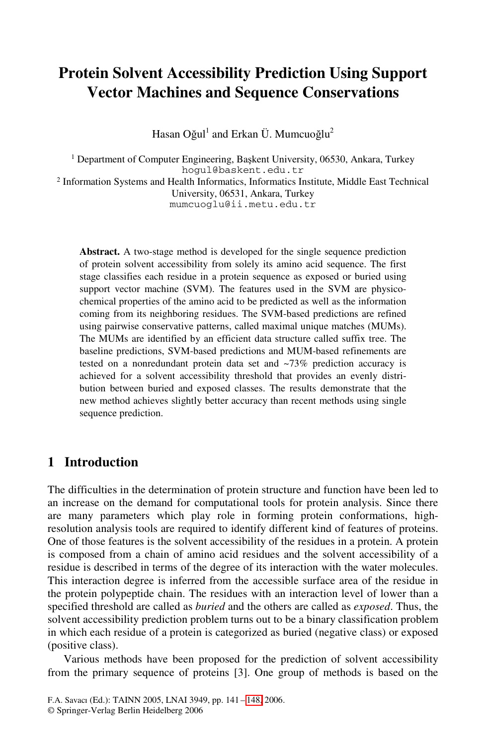# **Protein Solvent Accessibility Prediction Using Support Vector Machines and Sequence Conservations**

Hasan Oğul $^{\rm l}$  and Erkan Ü. Mumcuoğlu $^{\rm 2}$ 

1 Department of Computer Engineering, Başkent University, 06530, Ankara, Turkey hogul@baskent.edu.tr 2 Information Systems and Health Informatics, Informatics Institute, Middle East Technical University, 06531, Ankara, Turkey mumcuoglu@ii.metu.edu.tr

**Abstract.** A two-stage method is developed for the single sequence prediction of protein solvent accessibility from solely its amino acid sequence. The first stage classifies each residue in a protein sequence as exposed or buried using support vector machine (SVM). The features used in the SVM are physicochemical properties of the amino acid to be predicted as well as the information coming from its neighboring residues. The SVM-based predictions are refined using pairwise conservative patterns, called maximal unique matches (MUMs). The MUMs are identified by an efficient data structure called suffix tree. The baseline predictions, SVM-based predictions and MUM-based refinements are tested on a nonredundant protein data set and ~73% prediction accuracy is achieved for a solvent accessibility threshold that provides an evenly distribution between buried and exposed classes. The results demonstrate that the new method achieves slightly better accuracy than recent methods using single sequence prediction.

## **1 Introduction**

The difficulties in the determination of protein structure and function have been led to an increase on the demand for computational tools for protein analysis. Since there are many parameters which play role in forming protein conformations, highresolution analysis tools are required to identify different kind of features of proteins. One of those features is the solvent accessibility of the residues in a protein. A protein is composed from a chain of amino acid residues and the solvent accessibility of a residue is described in terms of the degree of its interaction with the water molecules. This interaction degree is inferred from the accessible surface area of the residue in the protein polypeptide chain. The residues with an interaction level of lower than a specified threshold are called as *buried* and the others are called as *exposed*. Thus, the solvent accessibility prediction problem turns out to be a binary classification problem in which each residue of a protein is categorized as buried (negative class) or exposed (positive class).

Various methods have been proposed for the prediction of solvent accessibility from the primary sequence of proteins [3]. One group of methods is based on the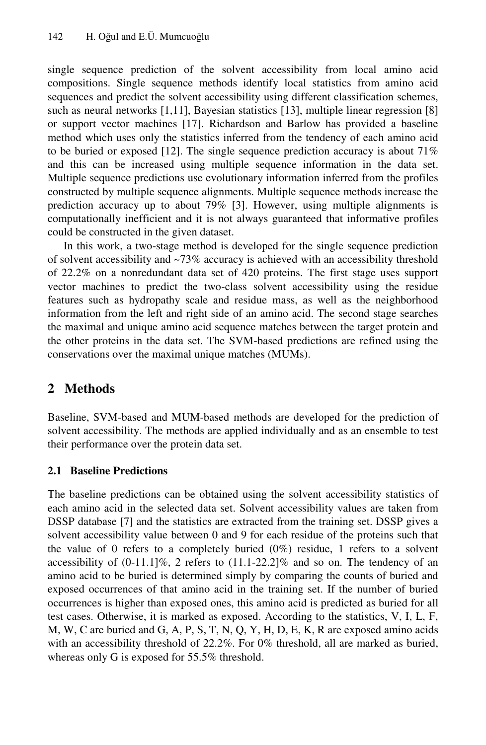single sequence prediction of the solvent accessibility from local amino acid compositions. Single sequence methods identify local statistics from amino acid sequences and predict the solvent accessibility using different classification schemes, such as neural networks [1,11], Bayesian statistics [13], multiple linear regression [8] or support vector machines [17]. Richardson and Barlow has provided a baseline method which uses only the statistics inferred from the tendency of each amino acid to be buried or exposed [12]. The single sequence prediction accuracy is about 71% and this can be increased using multiple sequence information in the data set. Multiple sequence predictions use evolutionary information inferred from the profiles constructed by multiple sequence alignments. Multiple sequence methods increase the prediction accuracy up to about 79% [3]. However, using multiple alignments is computationally inefficient and it is not always guaranteed that informative profiles could be constructed in the given dataset.

In this work, a two-stage method is developed for the single sequence prediction of solvent accessibility and ~73% accuracy is achieved with an accessibility threshold of 22.2% on a nonredundant data set of 420 proteins. The first stage uses support vector machines to predict the two-class solvent accessibility using the residue features such as hydropathy scale and residue mass, as well as the neighborhood information from the left and right side of an amino acid. The second stage searches the maximal and unique amino acid sequence matches between the target protein and the other proteins in the data set. The SVM-based predictions are refined using the conservations over the maximal unique matches (MUMs).

# **2 Methods**

Baseline, SVM-based and MUM-based methods are developed for the prediction of solvent accessibility. The methods are applied individually and as an ensemble to test their performance over the protein data set.

### **2.1 Baseline Predictions**

The baseline predictions can be obtained using the solvent accessibility statistics of each amino acid in the selected data set. Solvent accessibility values are taken from DSSP database [7] and the statistics are extracted from the training set. DSSP gives a solvent accessibility value between 0 and 9 for each residue of the proteins such that the value of 0 refers to a completely buried (0%) residue, 1 refers to a solvent accessibility of  $(0-11.1]\%$ , 2 refers to  $(11.1-22.2]\%$  and so on. The tendency of an amino acid to be buried is determined simply by comparing the counts of buried and exposed occurrences of that amino acid in the training set. If the number of buried occurrences is higher than exposed ones, this amino acid is predicted as buried for all test cases. Otherwise, it is marked as exposed. According to the statistics, V, I, L, F, M, W, C are buried and G, A, P, S, T, N, Q, Y, H, D, E, K, R are exposed amino acids with an accessibility threshold of 22.2%. For 0% threshold, all are marked as buried, whereas only G is exposed for 55.5% threshold.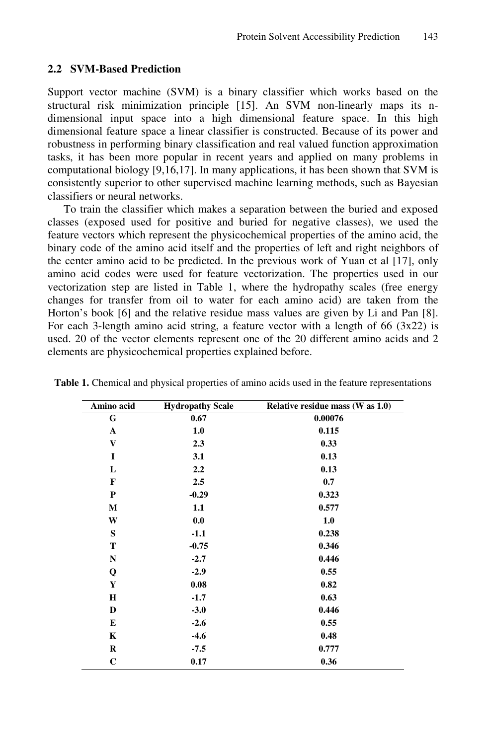### **2.2 SVM-Based Prediction**

Support vector machine (SVM) is a binary classifier which works based on the structural risk minimization principle [15]. An SVM non-linearly maps its ndimensional input space into a high dimensional feature space. In this high dimensional feature space a linear classifier is constructed. Because of its power and robustness in performing binary classification and real valued function approximation tasks, it has been more popular in recent years and applied on many problems in computational biology [9,16,17]. In many applications, it has been shown that SVM is consistently superior to other supervised machine learning methods, such as Bayesian classifiers or neural networks.

To train the classifier which makes a separation between the buried and exposed classes (exposed used for positive and buried for negative classes), we used the feature vectors which represent the physicochemical properties of the amino acid, the binary code of the amino acid itself and the properties of left and right neighbors of the center amino acid to be predicted. In the previous work of Yuan et al [17], only amino acid codes were used for feature vectorization. The properties used in our vectorization step are listed in Table 1, where the hydropathy scales (free energy changes for transfer from oil to water for each amino acid) are taken from the Horton's book [6] and the relative residue mass values are given by Li and Pan [8]. For each 3-length amino acid string, a feature vector with a length of 66  $(3x22)$  is used. 20 of the vector elements represent one of the 20 different amino acids and 2 elements are physicochemical properties explained before.

| Amino acid  | <b>Hydropathy Scale</b> | Relative residue mass (W as 1.0) |  |
|-------------|-------------------------|----------------------------------|--|
| G           | 0.67                    | 0.00076                          |  |
| $\mathbf A$ | 1.0                     | 0.115                            |  |
| V           | 2.3                     | 0.33                             |  |
| I           | 3.1                     | 0.13                             |  |
| L           | 2.2                     | 0.13                             |  |
| F           | 2.5                     | 0.7                              |  |
| P           | $-0.29$                 | 0.323                            |  |
| М           | 1.1                     | 0.577                            |  |
| W           | 0.0                     | 1.0                              |  |
| S           | $-1.1$                  | 0.238                            |  |
| Т           | $-0.75$                 | 0.346                            |  |
| ${\bf N}$   | $-2.7$                  | 0.446                            |  |
| Q           | $-2.9$                  | 0.55                             |  |
| Y           | 0.08                    | 0.82                             |  |
| $\mathbf H$ | $-1.7$                  | 0.63                             |  |
| D           | $-3.0$                  | 0.446                            |  |
| E           | $-2.6$                  | 0.55                             |  |
| K           | $-4.6$                  | 0.48                             |  |
| $\bf R$     | $-7.5$                  | 0.777                            |  |
| $\bf C$     | 0.17                    | 0.36                             |  |

**Table 1.** Chemical and physical properties of amino acids used in the feature representations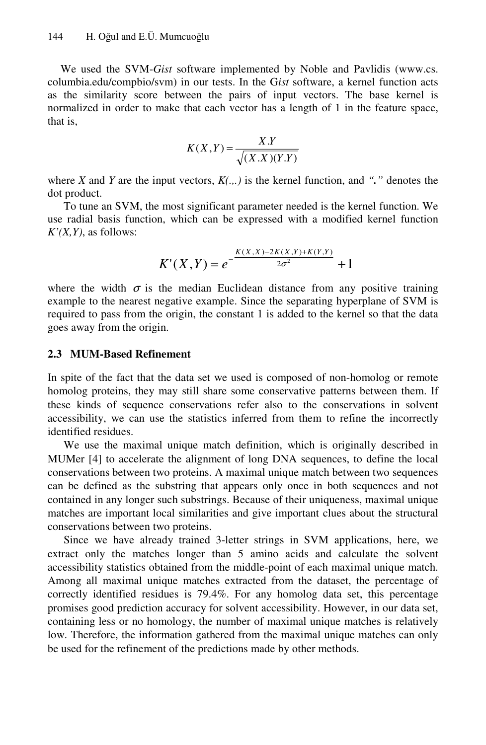We used the SVM-*Gist* software implemented by Noble and Pavlidis (www.cs. columbia.edu/compbio/svm) in our tests. In the G*ist* software, a kernel function acts as the similarity score between the pairs of input vectors. The base kernel is normalized in order to make that each vector has a length of 1 in the feature space, that is,

$$
K(X,Y) = \frac{X.Y}{\sqrt{(X.X)(Y.Y)}}
$$

where *X* and *Y* are the input vectors,  $K(.,.)$  is the kernel function, and " $\cdot$ " denotes the dot product.

To tune an SVM, the most significant parameter needed is the kernel function. We use radial basis function, which can be expressed with a modified kernel function  $K'(X,Y)$ , as follows:

$$
K'(X,Y) = e^{-\frac{K(X,X) - 2K(X,Y) + K(Y,Y)}{2\sigma^2}} + 1
$$

where the width  $\sigma$  is the median Euclidean distance from any positive training example to the nearest negative example. Since the separating hyperplane of SVM is required to pass from the origin, the constant 1 is added to the kernel so that the data goes away from the origin.

#### **2.3 MUM-Based Refinement**

In spite of the fact that the data set we used is composed of non-homolog or remote homolog proteins, they may still share some conservative patterns between them. If these kinds of sequence conservations refer also to the conservations in solvent accessibility, we can use the statistics inferred from them to refine the incorrectly identified residues.

We use the maximal unique match definition, which is originally described in MUMer [4] to accelerate the alignment of long DNA sequences, to define the local conservations between two proteins. A maximal unique match between two sequences can be defined as the substring that appears only once in both sequences and not contained in any longer such substrings. Because of their uniqueness, maximal unique matches are important local similarities and give important clues about the structural conservations between two proteins.

Since we have already trained 3-letter strings in SVM applications, here, we extract only the matches longer than 5 amino acids and calculate the solvent accessibility statistics obtained from the middle-point of each maximal unique match. Among all maximal unique matches extracted from the dataset, the percentage of correctly identified residues is 79.4%. For any homolog data set, this percentage promises good prediction accuracy for solvent accessibility. However, in our data set, containing less or no homology, the number of maximal unique matches is relatively low. Therefore, the information gathered from the maximal unique matches can only be used for the refinement of the predictions made by other methods.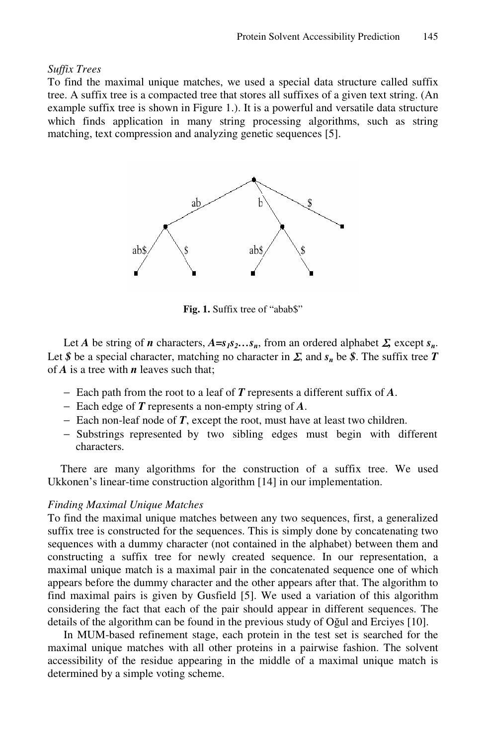#### *Suffix Trees*

To find the maximal unique matches, we used a special data structure called suffix tree. A suffix tree is a compacted tree that stores all suffixes of a given text string. (An example suffix tree is shown in Figure 1.). It is a powerful and versatile data structure which finds application in many string processing algorithms, such as string matching, text compression and analyzing genetic sequences [5].



**Fig. 1.** Suffix tree of "abab\$"

Let *A* be string of *n* characters,  $A = s_1 s_2 \ldots s_n$ , from an ordered alphabet  $\Sigma$  except  $s_n$ . Let \$ be a special character, matching no character in  $\Sigma$ , and  $s_n$  be \$. The suffix tree T of  $A$  is a tree with  $n$  leaves such that:

- − Each path from the root to a leaf of *T* represents a different suffix of *A*.
- − Each edge of *T* represents a non-empty string of *A*.
- − Each non-leaf node of *T*, except the root, must have at least two children.
- − Substrings represented by two sibling edges must begin with different characters.

There are many algorithms for the construction of a suffix tree. We used Ukkonen's linear-time construction algorithm [14] in our implementation.

#### *Finding Maximal Unique Matches*

To find the maximal unique matches between any two sequences, first, a generalized suffix tree is constructed for the sequences. This is simply done by concatenating two sequences with a dummy character (not contained in the alphabet) between them and constructing a suffix tree for newly created sequence. In our representation, a maximal unique match is a maximal pair in the concatenated sequence one of which appears before the dummy character and the other appears after that. The algorithm to find maximal pairs is given by Gusfield [5]. We used a variation of this algorithm considering the fact that each of the pair should appear in different sequences. The details of the algorithm can be found in the previous study of Oğul and Erciyes [10].

In MUM-based refinement stage, each protein in the test set is searched for the maximal unique matches with all other proteins in a pairwise fashion. The solvent accessibility of the residue appearing in the middle of a maximal unique match is determined by a simple voting scheme.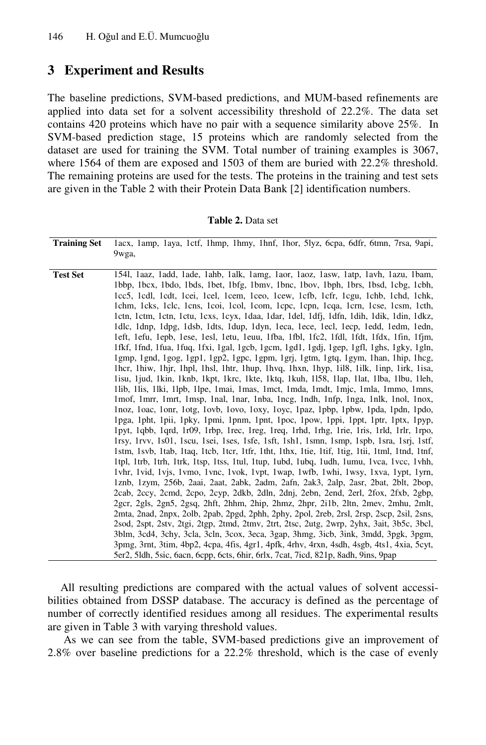### **3 Experiment and Results**

The baseline predictions, SVM-based predictions, and MUM-based refinements are applied into data set for a solvent accessibility threshold of 22.2%. The data set contains 420 proteins which have no pair with a sequence similarity above 25%. In SVM-based prediction stage, 15 proteins which are randomly selected from the dataset are used for training the SVM. Total number of training examples is 3067, where 1564 of them are exposed and 1503 of them are buried with 22.2% threshold. The remaining proteins are used for the tests. The proteins in the training and test sets are given in the Table 2 with their Protein Data Bank [2] identification numbers.

#### **Table 2.** Data set

**Training Set** 1acx, 1amp, 1aya, 1ctf, 1hmp, 1hmy, 1hnf, 1hor, 5lyz, 6cpa, 6dfr, 6tmn, 7rsa, 9api, 9wga, **Test Set** 154l, 1aaz, 1add, 1ade, 1ahb, 1alk, 1amg, 1aor, 1aoz, 1asw, 1atp, 1avh, 1azu, 1bam, 1bbp, 1bcx, 1bdo, 1bds, 1bet, 1bfg, 1bmv, 1bnc, 1bov, 1bph, 1brs, 1bsd, 1cbg, 1cbh, 1cc5, 1cdl, 1cdt, 1cei, 1cel, 1cem, 1ceo, 1cew, 1cfb, 1cfr, 1cgu, 1chb, 1chd, 1chk, 1chm, 1cks, 1clc, 1cns, 1coi, 1col, 1com, 1cpc, 1cpn, 1cqa, 1crn, 1cse, 1csm, 1cth, 1ctn, 1ctm, 1ctn, 1ctu, 1cxs, 1cyx, 1daa, 1dar, 1del, 1dfj, 1dfn, 1dih, 1dik, 1din, 1dkz, 1dlc, 1dnp, 1dpg, 1dsb, 1dts, 1dup, 1dyn, 1eca, 1ece, 1ecl, 1ecp, 1edd, 1edm, 1edn, 1eft, 1efu, 1epb, 1ese, 1esl, 1etu, 1euu, 1fba, 1fbl, 1fc2, 1fdl, 1fdt, 1fdx, 1fin, 1fjm, 1fkf, 1fnd, 1fua, 1fuq, 1fxi, 1gal, 1gcb, 1gcm, 1gd1, 1gdj, 1gep, 1gfl, 1ghs, 1gky, 1gln, 1gmp, 1gnd, 1gog, 1gp1, 1gp2, 1gpc, 1gpm, 1grj, 1gtm, 1gtq, 1gym, 1han, 1hip, 1hcg, 1hcr, 1hiw, 1hjr, 1hpl, 1hsl, 1htr, 1hup, 1hvq, 1hxn, 1hyp, 1il8, 1ilk, 1inp, 1irk, 1isa, 1isu, 1jud, 1kin, 1knb, 1kpt, 1krc, 1kte, 1ktq, 1kuh, 1l58, 1lap, 1lat, 1lba, 1lbu, 1leh, 1lib, 1lis, 1lki, 1lpb, 1lpe, 1mai, 1mas, 1mct, 1mda, 1mdt, 1mjc, 1mla, 1mmo, 1mns, 1mof, 1mrr, 1mrt, 1msp, 1nal, 1nar, 1nba, 1ncg, 1ndh, 1nfp, 1nga, 1nlk, 1nol, 1nox, 1noz, 1oac, 1onr, 1otg, 1ovb, 1ovo, 1oxy, 1oyc, 1paz, 1pbp, 1pbw, 1pda, 1pdn, 1pdo, 1pga, 1pht, 1pii, 1pky, 1pmi, 1pnm, 1pnt, 1poc, 1pow, 1ppi, 1ppt, 1ptr, 1ptx, 1pyp, 1pyt, 1qbb, 1qrd, 1r09, 1rbp, 1rec, 1reg, 1req, 1rhd, 1rhg, 1rie, 1ris, 1rld, 1rlr, 1rpo, 1rsy, 1rvv, 1s01, 1scu, 1sei, 1ses, 1sfe, 1sft, 1sh1, 1smn, 1smp, 1spb, 1sra, 1srj, 1stf, 1stm, 1svb, 1tab, 1taq, 1tcb, 1tcr, 1tfr, 1tht, 1thx, 1tie, 1tif, 1tig, 1tii, 1tml, 1tnd, 1tnf, 1tpl, 1trb, 1trh, 1trk, 1tsp, 1tss, 1tul, 1tup, 1ubd, 1ubq, 1udh, 1umu, 1vca, 1vcc, 1vhh, 1vhr, 1vid, 1vjs, 1vmo, 1vnc, 1vok, 1vpt, 1wap, 1wfb, 1whi, 1wsy, 1xva, 1ypt, 1yrn, 1znb, 1zym, 256b, 2aai, 2aat, 2abk, 2adm, 2afn, 2ak3, 2alp, 2asr, 2bat, 2blt, 2bop, 2cab, 2ccy, 2cmd, 2cpo, 2cyp, 2dkb, 2dln, 2dnj, 2ebn, 2end, 2erl, 2fox, 2fxb, 2gbp, 2gcr, 2gls, 2gn5, 2gsq, 2hft, 2hhm, 2hip, 2hmz, 2hpr, 2i1b, 2ltn, 2mev, 2mhu, 2mlt, 2mta, 2nad, 2npx, 2olb, 2pab, 2pgd, 2phh, 2phy, 2pol, 2reb, 2rsl, 2rsp, 2scp, 2sil, 2sns, 2sod, 2spt, 2stv, 2tgi, 2tgp, 2tmd, 2tmv, 2trt, 2tsc, 2utg, 2wrp, 2yhx, 3ait, 3b5c, 3bcl, 3blm, 3cd4, 3chy, 3cla, 3cln, 3cox, 3eca, 3gap, 3hmg, 3icb, 3ink, 3mdd, 3pgk, 3pgm, 3pmg, 3rnt, 3tim, 4bp2, 4cpa, 4fis, 4gr1, 4pfk, 4rhv, 4rxn, 4sdh, 4sgb, 4ts1, 4xia, 5cyt, 5er2, 5ldh, 5sic, 6acn, 6cpp, 6cts, 6hir, 6rlx, 7cat, 7icd, 821p, 8adh, 9ins, 9pap

All resulting predictions are compared with the actual values of solvent accessibilities obtained from DSSP database. The accuracy is defined as the percentage of number of correctly identified residues among all residues. The experimental results are given in Table 3 with varying threshold values.

As we can see from the table, SVM-based predictions give an improvement of 2.8% over baseline predictions for a 22.2% threshold, which is the case of evenly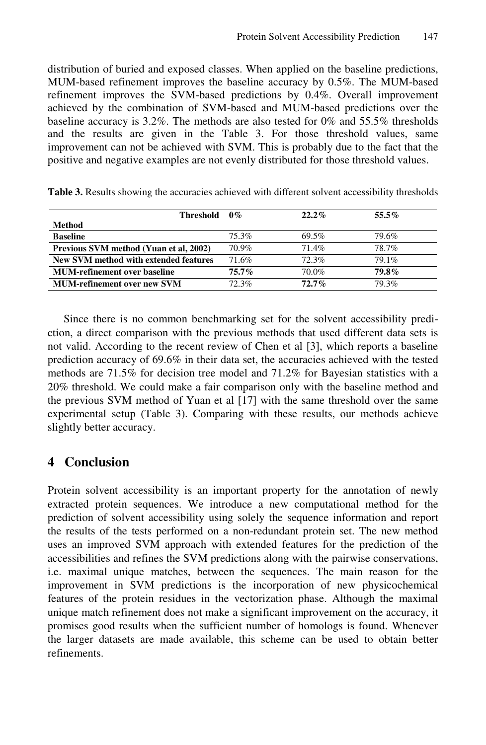distribution of buried and exposed classes. When applied on the baseline predictions, MUM-based refinement improves the baseline accuracy by 0.5%. The MUM-based refinement improves the SVM-based predictions by 0.4%. Overall improvement achieved by the combination of SVM-based and MUM-based predictions over the baseline accuracy is 3.2%. The methods are also tested for 0% and 55.5% thresholds and the results are given in the Table 3. For those threshold values, same improvement can not be achieved with SVM. This is probably due to the fact that the positive and negative examples are not evenly distributed for those threshold values.

| Threshold                              | $0\%$    | $22.2\%$ | $55.5\%$ |
|----------------------------------------|----------|----------|----------|
| Method                                 |          |          |          |
| <b>Baseline</b>                        | 75.3%    | 69.5%    | 79.6%    |
| Previous SVM method (Yuan et al, 2002) | 70.9%    | 71.4%    | 78.7%    |
| New SVM method with extended features  | 71.6%    | 72.3%    | 79.1%    |
| <b>MUM-refinement over baseline</b>    | $75.7\%$ | 70.0%    | 79.8%    |
| <b>MUM-refinement over new SVM</b>     | 72.3%    | $72.7\%$ | 79.3%    |

**Table 3.** Results showing the accuracies achieved with different solvent accessibility thresholds

Since there is no common benchmarking set for the solvent accessibility prediction, a direct comparison with the previous methods that used different data sets is not valid. According to the recent review of Chen et al [3], which reports a baseline prediction accuracy of 69.6% in their data set, the accuracies achieved with the tested methods are 71.5% for decision tree model and 71.2% for Bayesian statistics with a 20% threshold. We could make a fair comparison only with the baseline method and the previous SVM method of Yuan et al [17] with the same threshold over the same experimental setup (Table 3). Comparing with these results, our methods achieve slightly better accuracy.

## **4 Conclusion**

Protein solvent accessibility is an important property for the annotation of newly extracted protein sequences. We introduce a new computational method for the prediction of solvent accessibility using solely the sequence information and report the results of the tests performed on a non-redundant protein set. The new method uses an improved SVM approach with extended features for the prediction of the accessibilities and refines the SVM predictions along with the pairwise conservations, i.e. maximal unique matches, between the sequences. The main reason for the improvement in SVM predictions is the incorporation of new physicochemical features of the protein residues in the vectorization phase. Although the maximal unique match refinement does not make a significant improvement on the accuracy, it promises good results when the sufficient number of homologs is found. Whenever the larger datasets are made available, this scheme can be used to obtain better refinements.